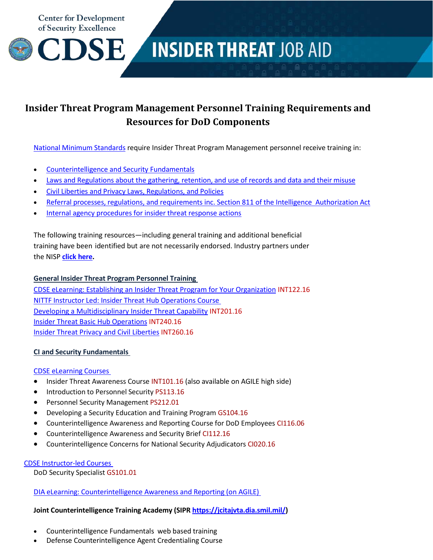**Center for Development** of Security Excellence



# **INSIDER THREAT JOB AID**

# **Insider Threat Program Management Personnel Training Requirements and Resources for DoD Components**

[National Minimum](https://www.dni.gov/index.php/ic-legal-reference-book/presidential-memorandum-nitp-minimum-standards-for-insider-threat-program) Standards require Insider Threat Program Management personnel receive training in:

- [Counterintelligence](#page-0-0) and Security Fundamentals
- Laws [and Regulations](#page-1-0) about the gathering, retention, and use of records and data and their misuse
- Civil Liberties and Privacy Laws, [Regulations, and](#page-1-0) Policies
- [Referral processes,](#page-1-1) regulations, and requirements inc. Section 811 of the Intelligence Authorization Act
- Internal agency [procedures](#page-2-0) for insider threat response actions

The following training resources—including general training and additional beneficial training have been identified but are not necessarily endorsed. Industry partners under the NISP **click here.**

# **General Insider Threat Program Personnel Training**

CDSE eLearning: [Establishing an Insider Threat](https://www.cdse.edu/catalog/elearning/INT122.html) Program for Your Organization INT122.16 NITTF Instructor Led: Insider Threat Hub [Operations Course](https://www.dni.gov/index.php/ncsc-how-we-work/ncsc-nittf/ncsc-nittf-training) [Developing a Multidisciplinary Insider Threat Capability](https://www.cdse.edu/catalog/elearning/INT201.html) INT201.16 [Insider Threat Basic Hub Operations](https://www.cdse.edu/catalog/elearning/INT240.html) INT240.16 [Insider Threat Privacy and Civil Liberties](https://www.cdse.edu/catalog/elearning/INT260.html) INT260.16

# <span id="page-0-0"></span>**CI and Security Fundamentals**

# [CDSE eLearning Courses](http://www.cdse.edu/catalog/elearning/index.html)

- Insider Threat Awareness Course INT101.16 (also available on AGILE high side)
- Introduction to Personnel Security PS113.16
- Personnel Security Management PS212.01
- Developing a Security Education and Training Program GS104.16
- Counterintelligence Awareness and Reporting Course for DoD Employees CI116.06
- Counterintelligence Awareness and Security Brief CI112.16
- Counterintelligence Concerns for National Security Adjudicators CI020.16

# [CDSE Instructor-led Courses](http://www.cdse.edu/catalog/classroom/index.html)

DoD Security Specialist GS101.01

DIA eLearning: [Counterintelligence](https://www.agile.mil/plateau/user/portal.do?siteID=AGILE-EXTCAT-0001) Awareness and Reporting (on AGILE)

# **Joint Counterintelligence Training Academy (SIPR [https://jcitajvta.dia.smil.mil/\)](https://jcitajvta.dia.smil.mil/)**

- Counterintelligence Fundamentals web based training
- Defense Counterintelligence Agent Credentialing Course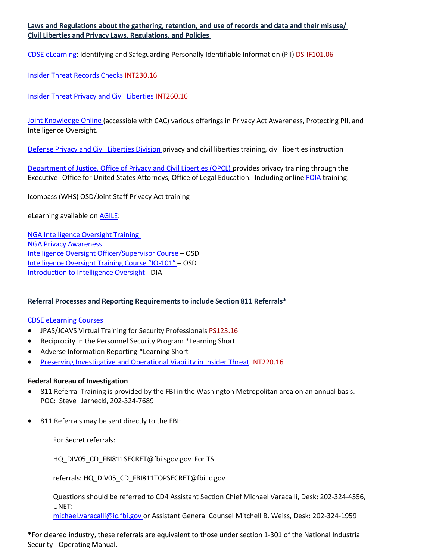<span id="page-1-0"></span>**Laws and Regulations about the gathering, retention, and use of records and data and their misuse/ Civil Liberties and Privacy Laws, Regulations, and Policies**

CDSE [eLearning:](http://www.cdse.edu/catalog/elearning/index.html) Identifying and Safeguarding Personally Identifiable Information (PII) DS-IF101.06

[Insider Threat Records Checks](https://www.cdse.edu/catalog/elearning/INT230.html) INT230.16

[Insider Threat Privacy and Civil Liberties](https://www.cdse.edu/catalog/elearning/INT260.html) INT260.16

[Joint Knowledge](http://jko.jten.mil/) Online (accessible with CAC) various offerings in Privacy Act Awareness, Protecting PII, and Intelligence Oversight.

Defense Privacy and Civil [Liberties](http://dpcld.defense.gov/) Division privacy and civil liberties training, civil liberties instruction

Department of Justice, Office of Privacy and Civil [Liberties \(OPCL\)](http://www.justice.gov/opcl/training-opportunities) provides privacy training through the Executive Office for United States Attorneys, Office of Legal Education. Including onlin[e FOIA](http://www.justice.gov/opa/video/department-justice-executive-briefing-freed) training.

[Icompass](https://sts.osd.mil/STS/issue/wsfed?wa=wsignin1.0&wtrealm=http%3a%2f%2fsso.osd.mil%2fadfs%2fservices%2ftrust&wctx=fa358bbf-a615-4bfb-8eeb-612ffe4931dc) (WHS) OSD/Joint Staff Privacy Act training

eLearning available on [AGILE:](https://www.agile.mil/i.html)

[NGA Intelligence](https://www.agile.mil/plateau/user/portal.do?siteID=AGILE-EXTCAT-0001) Oversight Training [NGA Privacy](https://www.agile.mil/plateau/user/portal.do?siteID=AGILE-EXTCAT-0001) Awareness Intelligence Oversight [Officer/Supervisor](https://www.agile.mil/plateau/user/portal.do?siteID=AGILE-EXTCAT-0001) Course – OSD Intelligence Oversight [Training Course](https://www.agile.mil/plateau/user/portal.do?siteID=AGILE-EXTCAT-0001) "IO-101" – OSD [Introduction](https://www.agile.mil/plateau/user/portal.do?siteID=AGILE-EXTCAT-0001) to Intelligence Oversight - DIA

# <span id="page-1-1"></span>**Referral Processes and Reporting Requirements to include Section 811 Referrals\***

#### [CDSE eLearning Courses](http://www.cdse.edu/catalog/elearning/index.html)

- JPAS/JCAVS Virtual Training for Security Professionals PS123.16
- Reciprocity in the Personnel Security Program \*Learning Short
- Adverse Information Reporting \*Learning Short
- [Preserving Investigative and Operational Viability in Insider Threat](https://www.cdse.edu/catalog/elearning/INT220.html) INT220.16

#### **Federal Bureau of Investigation**

- 811 Referral Training is provided by the FBI in the Washington Metropolitan area on an annual basis. POC: Steve Jarnecki, 202-324-7689
- 811 Referrals may be sent directly to the FBI:

For Secret referral[s:](mailto:HQ_DIV05_CD_FBI811SECRET@fbi.sgov.gov)

[HQ\\_DIV05\\_CD\\_FBI811SECRET@fbi.sgov.gov](mailto:HQ_DIV05_CD_FBI811SECRET@fbi.sgov.gov) For TS

referrals: [HQ\\_DIV05\\_CD\\_FBI811TOPSECRET@fbi.ic.gov](mailto:HQ_DIV05_CD_FBI811TOPSECRET@fbi.ic.gov)

Questions should be referred to CD4 Assistant Section Chief Michael Varacalli, Desk: 202-324-4556, UNET:

[michael.varacalli@ic.fbi.gov o](mailto:michael.varacalli@ic.fbi.gov)r Assistant [General Counsel Mitchell](mailto:Dean.Chappelliii@ic.fbi.gov) B. Weiss, [Desk: 202-324-1959](mailto:dwchappell@fbi.sgov.gov)

\*For cleared industry, these referrals are equivalent to those under section 1-301 of the National Industrial Security Operating Manual.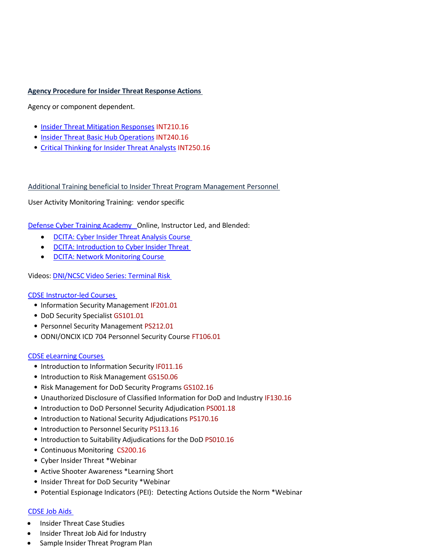#### <span id="page-2-0"></span>**Agency Procedure for Insider Threat Response Actions**

Agency or component dependent.

- [Insider Threat Mitigation Responses](https://www.cdse.edu/catalog/elearning/INT210.html) INT210.16
- [Insider Threat Basic Hub Operations](https://www.cdse.edu/catalog/elearning/INT240.html) INT240.16
- [Critical Thinking for Insider Threat Analysts](https://www.cdse.edu/catalog/elearning/INT250.html) INT250.16

Additional Training beneficial to Insider Threat Program Management Personnel

User Activity Monitoring Training: vendor specific

Defense Cyber Training Academy Online, Instructor Led, and Blended:

- DCITA: Cyber Insider Threat [Analysis](http://www.dcita.edu/courses.html) Course
- DCITA: Introduction to Cyber [Insider Threat](http://www.dcita.edu/courses.html)
- DCITA: [Network Monitoring Course](http://www.dcita.edu/courses.html)

Videos: [DNI/NCSC Video](https://www.ncsc.gov/industry/video/index.html) Series: Terminal Risk

#### [CDSE Instructor-led Courses](http://www.cdse.edu/catalog/classroom/index.html)

- Information Security Management IF201.01
- DoD Security Specialist GS101.01
- Personnel Security Management PS212.01
- ODNI/ONCIX ICD 704 Personnel Security Course FT106.01

#### [CDSE eLearning Courses](http://www.cdse.edu/catalog/elearning/index.html)

- Introduction to Information Security IF011.16
- Introduction to Risk Management GS150.06
- Risk Management for DoD Security Programs GS102.16
- Unauthorized Disclosure of Classified Information for DoD and Industry IF130.16
- Introduction to DoD Personnel Security Adjudication PS001.18
- Introduction to National Security Adjudications PS170.16
- Introduction to Personnel Security PS113.16
- Introduction to Suitability Adjudications for the DoD PS010.16
- Continuous Monitoring CS200.16
- Cyber Insider Threat \*Webinar
- Active Shooter Awareness \*Learning Short
- Insider Threat for DoD Security \*Webinar
- Potential Espionage Indicators (PEI): Detecting Actions Outside the Norm \*Webinar

#### [CDSE Job](http://www.cdse.edu/resources/supplemental-job-aids.html) Aids

- Insider Threat Case Studies
- Insider Threat Job Aid for Industry
- Sample Insider Threat Program Plan